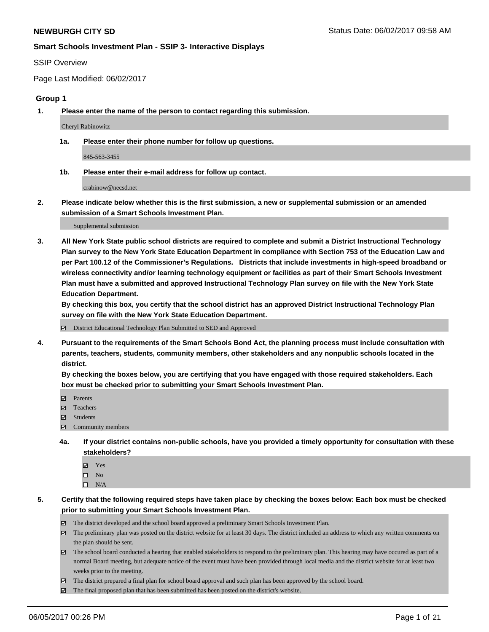#### SSIP Overview

Page Last Modified: 06/02/2017

#### **Group 1**

**1. Please enter the name of the person to contact regarding this submission.**

Cheryl Rabinowitz

**1a. Please enter their phone number for follow up questions.**

845-563-3455

**1b. Please enter their e-mail address for follow up contact.**

crabinow@necsd.net

**2. Please indicate below whether this is the first submission, a new or supplemental submission or an amended submission of a Smart Schools Investment Plan.**

Supplemental submission

**3. All New York State public school districts are required to complete and submit a District Instructional Technology Plan survey to the New York State Education Department in compliance with Section 753 of the Education Law and per Part 100.12 of the Commissioner's Regulations. Districts that include investments in high-speed broadband or wireless connectivity and/or learning technology equipment or facilities as part of their Smart Schools Investment Plan must have a submitted and approved Instructional Technology Plan survey on file with the New York State Education Department.** 

**By checking this box, you certify that the school district has an approved District Instructional Technology Plan survey on file with the New York State Education Department.**

District Educational Technology Plan Submitted to SED and Approved

**4. Pursuant to the requirements of the Smart Schools Bond Act, the planning process must include consultation with parents, teachers, students, community members, other stakeholders and any nonpublic schools located in the district.** 

**By checking the boxes below, you are certifying that you have engaged with those required stakeholders. Each box must be checked prior to submitting your Smart Schools Investment Plan.**

- **マ** Parents
- □ Teachers
- Students
- $\Xi$  Community members
- **4a. If your district contains non-public schools, have you provided a timely opportunity for consultation with these stakeholders?**
	- Yes
	- $\hfill \square$  No
	- $\square$  N/A
- **5. Certify that the following required steps have taken place by checking the boxes below: Each box must be checked prior to submitting your Smart Schools Investment Plan.**
	- The district developed and the school board approved a preliminary Smart Schools Investment Plan.
	- $\boxtimes$  The preliminary plan was posted on the district website for at least 30 days. The district included an address to which any written comments on the plan should be sent.
	- $\boxtimes$  The school board conducted a hearing that enabled stakeholders to respond to the preliminary plan. This hearing may have occured as part of a normal Board meeting, but adequate notice of the event must have been provided through local media and the district website for at least two weeks prior to the meeting.
	- The district prepared a final plan for school board approval and such plan has been approved by the school board.
	- $\boxtimes$  The final proposed plan that has been submitted has been posted on the district's website.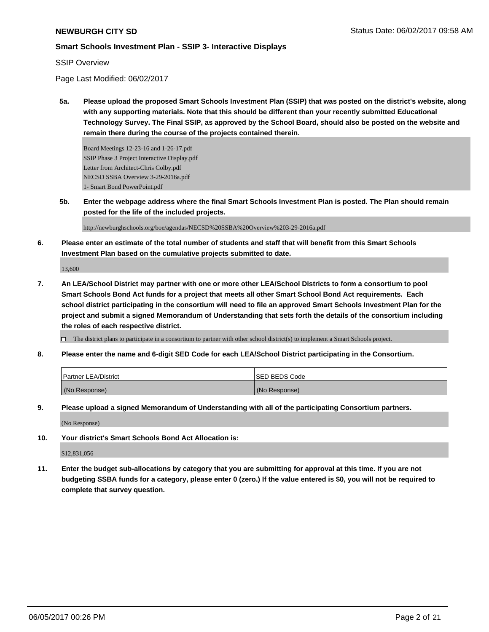#### SSIP Overview

Page Last Modified: 06/02/2017

**5a. Please upload the proposed Smart Schools Investment Plan (SSIP) that was posted on the district's website, along with any supporting materials. Note that this should be different than your recently submitted Educational Technology Survey. The Final SSIP, as approved by the School Board, should also be posted on the website and remain there during the course of the projects contained therein.**

Board Meetings 12-23-16 and 1-26-17.pdf SSIP Phase 3 Project Interactive Display.pdf Letter from Architect-Chris Colby.pdf NECSD SSBA Overview 3-29-2016a.pdf 1- Smart Bond PowerPoint.pdf

**5b. Enter the webpage address where the final Smart Schools Investment Plan is posted. The Plan should remain posted for the life of the included projects.**

http://newburghschools.org/boe/agendas/NECSD%20SSBA%20Overview%203-29-2016a.pdf

**6. Please enter an estimate of the total number of students and staff that will benefit from this Smart Schools Investment Plan based on the cumulative projects submitted to date.**

13,600

**7. An LEA/School District may partner with one or more other LEA/School Districts to form a consortium to pool Smart Schools Bond Act funds for a project that meets all other Smart School Bond Act requirements. Each school district participating in the consortium will need to file an approved Smart Schools Investment Plan for the project and submit a signed Memorandum of Understanding that sets forth the details of the consortium including the roles of each respective district.**

 $\Box$  The district plans to participate in a consortium to partner with other school district(s) to implement a Smart Schools project.

**8. Please enter the name and 6-digit SED Code for each LEA/School District participating in the Consortium.**

| <b>Partner LEA/District</b> | <b>ISED BEDS Code</b> |
|-----------------------------|-----------------------|
| (No Response)               | (No Response)         |

**9. Please upload a signed Memorandum of Understanding with all of the participating Consortium partners.**

(No Response)

**10. Your district's Smart Schools Bond Act Allocation is:**

\$12,831,056

**11. Enter the budget sub-allocations by category that you are submitting for approval at this time. If you are not budgeting SSBA funds for a category, please enter 0 (zero.) If the value entered is \$0, you will not be required to complete that survey question.**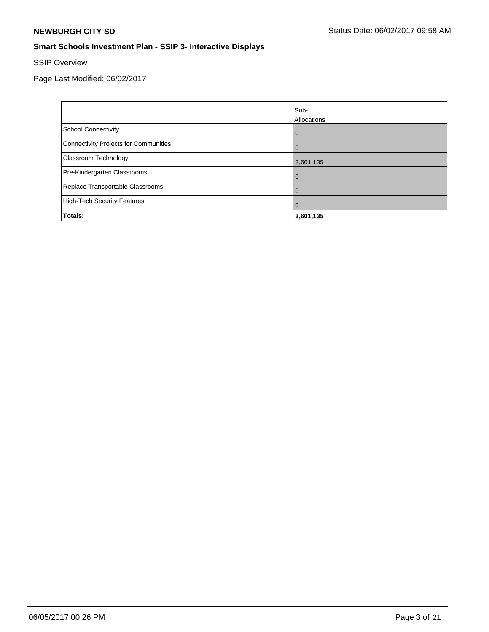# SSIP Overview

Page Last Modified: 06/02/2017

|                                       | Sub-           |
|---------------------------------------|----------------|
|                                       | Allocations    |
| <b>School Connectivity</b>            | $\overline{0}$ |
| Connectivity Projects for Communities | $\Omega$       |
| <b>Classroom Technology</b>           | 3,601,135      |
| Pre-Kindergarten Classrooms           | $\Omega$       |
| Replace Transportable Classrooms      | $\mathbf 0$    |
| High-Tech Security Features           | $\mathbf 0$    |
| Totals:                               | 3,601,135      |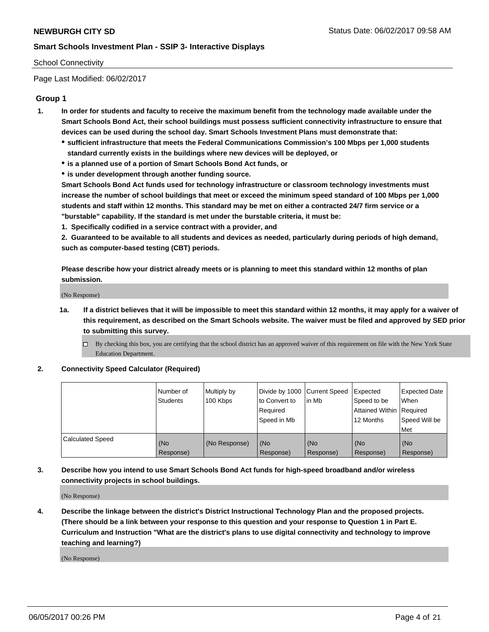#### School Connectivity

Page Last Modified: 06/02/2017

## **Group 1**

- **1. In order for students and faculty to receive the maximum benefit from the technology made available under the Smart Schools Bond Act, their school buildings must possess sufficient connectivity infrastructure to ensure that devices can be used during the school day. Smart Schools Investment Plans must demonstrate that:**
	- **sufficient infrastructure that meets the Federal Communications Commission's 100 Mbps per 1,000 students standard currently exists in the buildings where new devices will be deployed, or**
	- **is a planned use of a portion of Smart Schools Bond Act funds, or**
	- **is under development through another funding source.**

**Smart Schools Bond Act funds used for technology infrastructure or classroom technology investments must increase the number of school buildings that meet or exceed the minimum speed standard of 100 Mbps per 1,000 students and staff within 12 months. This standard may be met on either a contracted 24/7 firm service or a "burstable" capability. If the standard is met under the burstable criteria, it must be:**

**1. Specifically codified in a service contract with a provider, and**

**2. Guaranteed to be available to all students and devices as needed, particularly during periods of high demand, such as computer-based testing (CBT) periods.**

**Please describe how your district already meets or is planning to meet this standard within 12 months of plan submission.**

(No Response)

- **1a. If a district believes that it will be impossible to meet this standard within 12 months, it may apply for a waiver of this requirement, as described on the Smart Schools website. The waiver must be filed and approved by SED prior to submitting this survey.**
	- By checking this box, you are certifying that the school district has an approved waiver of this requirement on file with the New York State Education Department.

#### **2. Connectivity Speed Calculator (Required)**

|                         | l Number of<br><b>Students</b> | Multiply by<br>100 Kbps | Divide by 1000   Current Speed<br>to Convert to<br>Required<br>l Speed in Mb | in Mb            | Expected<br>Speed to be<br>Attained Within Required<br>12 Months | <b>Expected Date</b><br>When<br>Speed Will be<br><b>Met</b> |
|-------------------------|--------------------------------|-------------------------|------------------------------------------------------------------------------|------------------|------------------------------------------------------------------|-------------------------------------------------------------|
| <b>Calculated Speed</b> | (No<br>Response)               | (No Response)           | (No<br>Response)                                                             | (No<br>Response) | (No<br>Response)                                                 | l (No<br>Response)                                          |

# **3. Describe how you intend to use Smart Schools Bond Act funds for high-speed broadband and/or wireless connectivity projects in school buildings.**

(No Response)

**4. Describe the linkage between the district's District Instructional Technology Plan and the proposed projects. (There should be a link between your response to this question and your response to Question 1 in Part E. Curriculum and Instruction "What are the district's plans to use digital connectivity and technology to improve teaching and learning?)**

(No Response)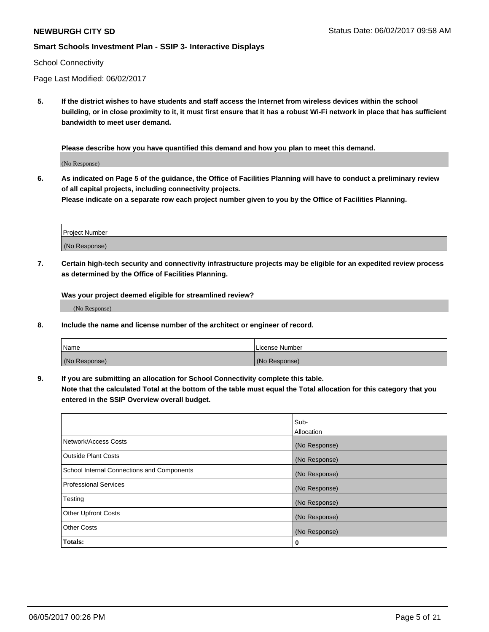#### School Connectivity

Page Last Modified: 06/02/2017

**5. If the district wishes to have students and staff access the Internet from wireless devices within the school building, or in close proximity to it, it must first ensure that it has a robust Wi-Fi network in place that has sufficient bandwidth to meet user demand.**

**Please describe how you have quantified this demand and how you plan to meet this demand.**

(No Response)

**6. As indicated on Page 5 of the guidance, the Office of Facilities Planning will have to conduct a preliminary review of all capital projects, including connectivity projects.**

**Please indicate on a separate row each project number given to you by the Office of Facilities Planning.**

| Project Number |  |
|----------------|--|
|                |  |
| (No Response)  |  |

**7. Certain high-tech security and connectivity infrastructure projects may be eligible for an expedited review process as determined by the Office of Facilities Planning.**

**Was your project deemed eligible for streamlined review?**

(No Response)

**8. Include the name and license number of the architect or engineer of record.**

| Name          | License Number |
|---------------|----------------|
| (No Response) | (No Response)  |

**9. If you are submitting an allocation for School Connectivity complete this table.**

**Note that the calculated Total at the bottom of the table must equal the Total allocation for this category that you entered in the SSIP Overview overall budget.** 

|                                            | Sub-          |
|--------------------------------------------|---------------|
|                                            | Allocation    |
| Network/Access Costs                       | (No Response) |
| Outside Plant Costs                        | (No Response) |
| School Internal Connections and Components | (No Response) |
| <b>Professional Services</b>               | (No Response) |
| Testing                                    | (No Response) |
| <b>Other Upfront Costs</b>                 | (No Response) |
| <b>Other Costs</b>                         | (No Response) |
| Totals:                                    | 0             |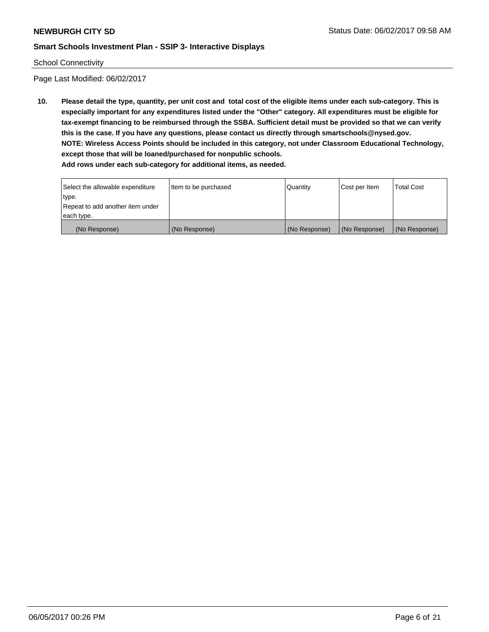#### School Connectivity

Page Last Modified: 06/02/2017

**10. Please detail the type, quantity, per unit cost and total cost of the eligible items under each sub-category. This is especially important for any expenditures listed under the "Other" category. All expenditures must be eligible for tax-exempt financing to be reimbursed through the SSBA. Sufficient detail must be provided so that we can verify this is the case. If you have any questions, please contact us directly through smartschools@nysed.gov. NOTE: Wireless Access Points should be included in this category, not under Classroom Educational Technology, except those that will be loaned/purchased for nonpublic schools.**

| Select the allowable expenditure | Item to be purchased | Quantity      | Cost per Item | <b>Total Cost</b> |
|----------------------------------|----------------------|---------------|---------------|-------------------|
| type.                            |                      |               |               |                   |
| Repeat to add another item under |                      |               |               |                   |
| each type.                       |                      |               |               |                   |
| (No Response)                    | (No Response)        | (No Response) | (No Response) | (No Response)     |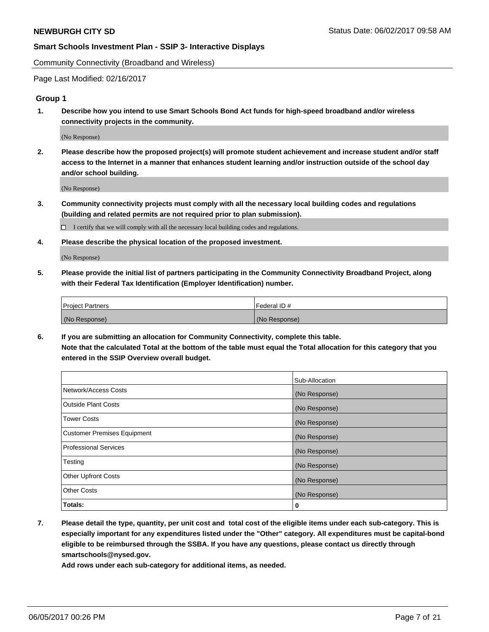Community Connectivity (Broadband and Wireless)

Page Last Modified: 02/16/2017

#### **Group 1**

**1. Describe how you intend to use Smart Schools Bond Act funds for high-speed broadband and/or wireless connectivity projects in the community.**

(No Response)

**2. Please describe how the proposed project(s) will promote student achievement and increase student and/or staff access to the Internet in a manner that enhances student learning and/or instruction outside of the school day and/or school building.**

(No Response)

**3. Community connectivity projects must comply with all the necessary local building codes and regulations (building and related permits are not required prior to plan submission).**

 $\Box$  I certify that we will comply with all the necessary local building codes and regulations.

**4. Please describe the physical location of the proposed investment.**

(No Response)

**5. Please provide the initial list of partners participating in the Community Connectivity Broadband Project, along with their Federal Tax Identification (Employer Identification) number.**

| <b>Project Partners</b> | Federal ID#     |
|-------------------------|-----------------|
| (No Response)           | l (No Response) |

**6. If you are submitting an allocation for Community Connectivity, complete this table. Note that the calculated Total at the bottom of the table must equal the Total allocation for this category that you entered in the SSIP Overview overall budget.**

|                                    | Sub-Allocation |
|------------------------------------|----------------|
| Network/Access Costs               | (No Response)  |
| Outside Plant Costs                | (No Response)  |
| <b>Tower Costs</b>                 | (No Response)  |
| <b>Customer Premises Equipment</b> | (No Response)  |
| <b>Professional Services</b>       | (No Response)  |
| Testing                            | (No Response)  |
| <b>Other Upfront Costs</b>         | (No Response)  |
| <b>Other Costs</b>                 | (No Response)  |
| Totals:                            | 0              |

**7. Please detail the type, quantity, per unit cost and total cost of the eligible items under each sub-category. This is especially important for any expenditures listed under the "Other" category. All expenditures must be capital-bond eligible to be reimbursed through the SSBA. If you have any questions, please contact us directly through smartschools@nysed.gov.**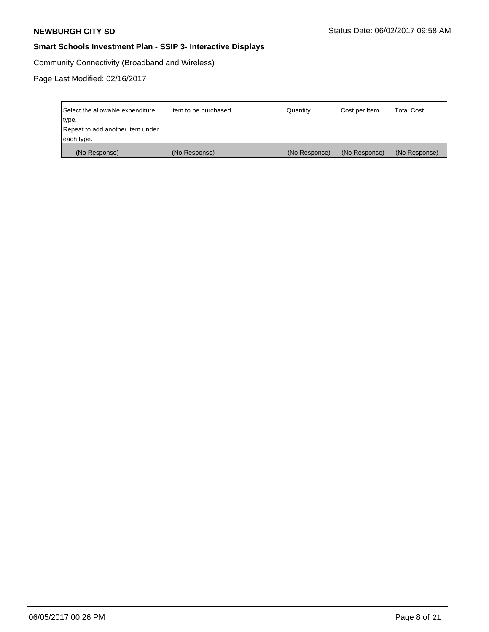Community Connectivity (Broadband and Wireless)

Page Last Modified: 02/16/2017

| Select the allowable expenditure | Item to be purchased | Quantity      | Cost per Item | <b>Total Cost</b> |
|----------------------------------|----------------------|---------------|---------------|-------------------|
| type.                            |                      |               |               |                   |
| Repeat to add another item under |                      |               |               |                   |
| each type.                       |                      |               |               |                   |
| (No Response)                    | (No Response)        | (No Response) | (No Response) | (No Response)     |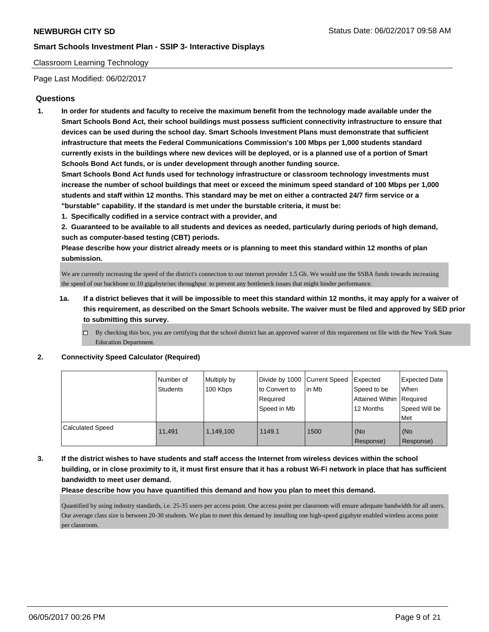#### Classroom Learning Technology

Page Last Modified: 06/02/2017

#### **Questions**

**1. In order for students and faculty to receive the maximum benefit from the technology made available under the Smart Schools Bond Act, their school buildings must possess sufficient connectivity infrastructure to ensure that devices can be used during the school day. Smart Schools Investment Plans must demonstrate that sufficient infrastructure that meets the Federal Communications Commission's 100 Mbps per 1,000 students standard currently exists in the buildings where new devices will be deployed, or is a planned use of a portion of Smart Schools Bond Act funds, or is under development through another funding source.**

**Smart Schools Bond Act funds used for technology infrastructure or classroom technology investments must increase the number of school buildings that meet or exceed the minimum speed standard of 100 Mbps per 1,000 students and staff within 12 months. This standard may be met on either a contracted 24/7 firm service or a "burstable" capability. If the standard is met under the burstable criteria, it must be:**

**1. Specifically codified in a service contract with a provider, and**

**2. Guaranteed to be available to all students and devices as needed, particularly during periods of high demand, such as computer-based testing (CBT) periods.**

**Please describe how your district already meets or is planning to meet this standard within 12 months of plan submission.**

We are currently increasing the speed of the district's connection to our internet provider 1.5 Gb. We would use the SSBA funds towards increasing the speed of our backbone to 10 gigabyte/sec throughput to prevent any bottleneck issues that might hinder performance.

- **1a. If a district believes that it will be impossible to meet this standard within 12 months, it may apply for a waiver of this requirement, as described on the Smart Schools website. The waiver must be filed and approved by SED prior to submitting this survey.**
	- $\Box$  By checking this box, you are certifying that the school district has an approved waiver of this requirement on file with the New York State Education Department.

#### **2. Connectivity Speed Calculator (Required)**

|                         | Number of<br>Students | Multiply by<br>100 Kbps | Divide by 1000 Current Speed<br>to Convert to<br>Required<br>Speed in Mb | lin Mb | <b>I</b> Expected<br>Speed to be<br>Attained Within Required<br>12 Months | <b>Expected Date</b><br><b>When</b><br>Speed Will be<br>Met |
|-------------------------|-----------------------|-------------------------|--------------------------------------------------------------------------|--------|---------------------------------------------------------------------------|-------------------------------------------------------------|
| <b>Calculated Speed</b> | 11.491                | 1.149.100               | 1149.1                                                                   | 1500   | l (No<br>Response)                                                        | (No<br>Response)                                            |

**3. If the district wishes to have students and staff access the Internet from wireless devices within the school building, or in close proximity to it, it must first ensure that it has a robust Wi-Fi network in place that has sufficient bandwidth to meet user demand.**

**Please describe how you have quantified this demand and how you plan to meet this demand.**

Quantified by using industry standards, i.e. 25-35 users per access point. One access point per classroom will ensure adequate bandwidth for all users. Our average class size is between 20-30 students. We plan to meet this demand by installing one high-speed gigabyte enabled wireless access point per classroom.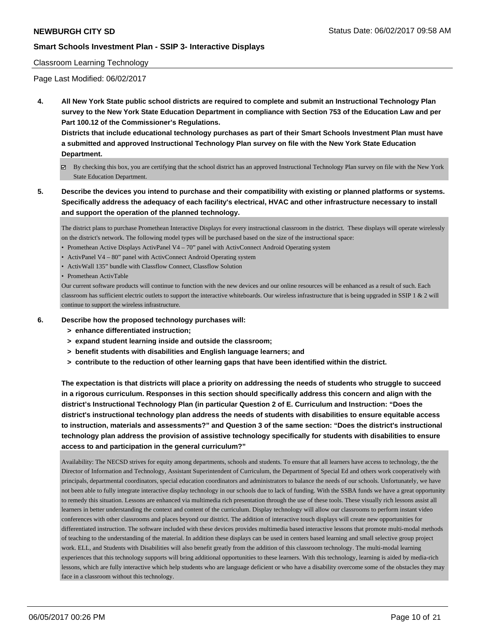#### Classroom Learning Technology

Page Last Modified: 06/02/2017

**4. All New York State public school districts are required to complete and submit an Instructional Technology Plan survey to the New York State Education Department in compliance with Section 753 of the Education Law and per Part 100.12 of the Commissioner's Regulations.**

**Districts that include educational technology purchases as part of their Smart Schools Investment Plan must have a submitted and approved Instructional Technology Plan survey on file with the New York State Education Department.**

- By checking this box, you are certifying that the school district has an approved Instructional Technology Plan survey on file with the New York State Education Department.
- **5. Describe the devices you intend to purchase and their compatibility with existing or planned platforms or systems. Specifically address the adequacy of each facility's electrical, HVAC and other infrastructure necessary to install and support the operation of the planned technology.**

The district plans to purchase Promethean Interactive Displays for every instructional classroom in the district. These displays will operate wirelessly on the district's network. The following model types will be purchased based on the size of the instructional space:

- Promethean Active Displays ActivPanel V4 70" panel with ActivConnect Android Operating system
- ActivPanel V4 80" panel with ActivConnect Android Operating system
- ActivWall 135" bundle with Classflow Connect, Classflow Solution

• Promethean ActivTable

Our current software products will continue to function with the new devices and our online resources will be enhanced as a result of such. Each classroom has sufficient electric outlets to support the interactive whiteboards. Our wireless infrastructure that is being upgraded in SSIP 1  $\&$  2 will continue to support the wireless infrastructure.

- **6. Describe how the proposed technology purchases will:**
	- **> enhance differentiated instruction;**
	- **> expand student learning inside and outside the classroom;**
	- **> benefit students with disabilities and English language learners; and**
	- **> contribute to the reduction of other learning gaps that have been identified within the district.**

**The expectation is that districts will place a priority on addressing the needs of students who struggle to succeed in a rigorous curriculum. Responses in this section should specifically address this concern and align with the district's Instructional Technology Plan (in particular Question 2 of E. Curriculum and Instruction: "Does the district's instructional technology plan address the needs of students with disabilities to ensure equitable access to instruction, materials and assessments?" and Question 3 of the same section: "Does the district's instructional technology plan address the provision of assistive technology specifically for students with disabilities to ensure access to and participation in the general curriculum?"**

Availability: The NECSD strives for equity among departments, schools and students. To ensure that all learners have access to technology, the the Director of Information and Technology, Assistant Superintendent of Curriculum, the Department of Special Ed and others work cooperatively with principals, departmental coordinators, special education coordinators and administrators to balance the needs of our schools. Unfortunately, we have not been able to fully integrate interactive display technology in our schools due to lack of funding. With the SSBA funds we have a great opportunity to remedy this situation. Lessons are enhanced via multimedia rich presentation through the use of these tools. These visually rich lessons assist all learners in better understanding the context and content of the curriculum. Display technology will allow our classrooms to perform instant video conferences with other classrooms and places beyond our district. The addition of interactive touch displays will create new opportunities for differentiated instruction. The software included with these devices provides multimedia based interactive lessons that promote multi-modal methods of teaching to the understanding of the material. In addition these displays can be used in centers based learning and small selective group project work. ELL, and Students with Disabilities will also benefit greatly from the addition of this classroom technology. The multi-modal learning experiences that this technology supports will bring additional opportunities to these learners. With this technology, learning is aided by media-rich lessons, which are fully interactive which help students who are language deficient or who have a disability overcome some of the obstacles they may face in a classroom without this technology.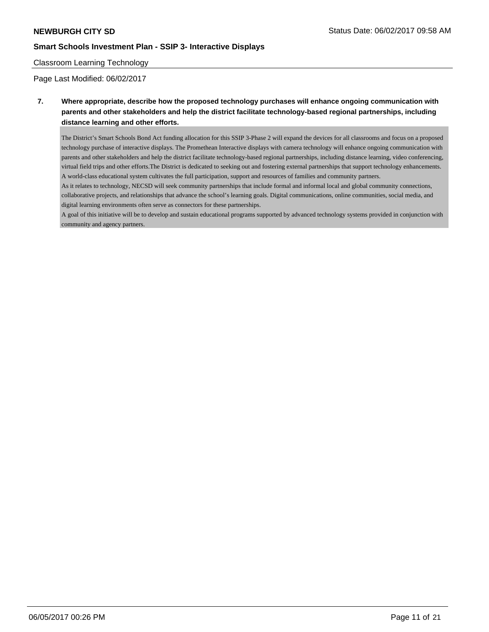### Classroom Learning Technology

Page Last Modified: 06/02/2017

**7. Where appropriate, describe how the proposed technology purchases will enhance ongoing communication with parents and other stakeholders and help the district facilitate technology-based regional partnerships, including distance learning and other efforts.**

The District's Smart Schools Bond Act funding allocation for this SSIP 3-Phase 2 will expand the devices for all classrooms and focus on a proposed technology purchase of interactive displays. The Promethean Interactive displays with camera technology will enhance ongoing communication with parents and other stakeholders and help the district facilitate technology-based regional partnerships, including distance learning, video conferencing, virtual field trips and other efforts.The District is dedicated to seeking out and fostering external partnerships that support technology enhancements. A world-class educational system cultivates the full participation, support and resources of families and community partners.

As it relates to technology, NECSD will seek community partnerships that include formal and informal local and global community connections, collaborative projects, and relationships that advance the school's learning goals. Digital communications, online communities, social media, and digital learning environments often serve as connectors for these partnerships.

A goal of this initiative will be to develop and sustain educational programs supported by advanced technology systems provided in conjunction with community and agency partners.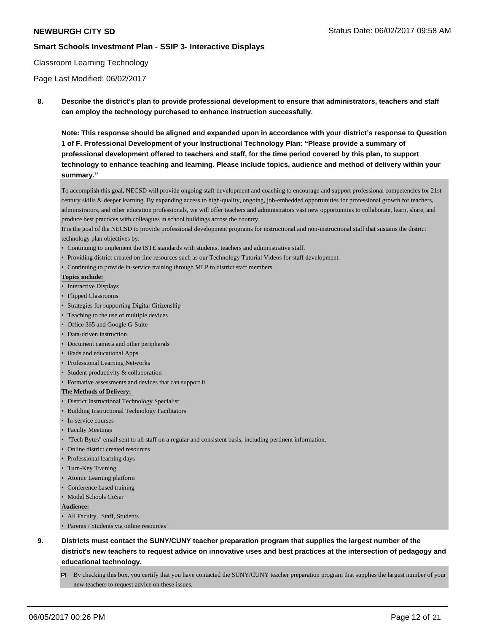#### Classroom Learning Technology

Page Last Modified: 06/02/2017

**8. Describe the district's plan to provide professional development to ensure that administrators, teachers and staff can employ the technology purchased to enhance instruction successfully.**

**Note: This response should be aligned and expanded upon in accordance with your district's response to Question 1 of F. Professional Development of your Instructional Technology Plan: "Please provide a summary of professional development offered to teachers and staff, for the time period covered by this plan, to support technology to enhance teaching and learning. Please include topics, audience and method of delivery within your summary."**

To accomplish this goal, NECSD will provide ongoing staff development and coaching to encourage and support professional competencies for 21st century skills & deeper learning. By expanding access to high-quality, ongoing, job-embedded opportunities for professional growth for teachers, administrators, and other education professionals, we will offer teachers and administrators vast new opportunities to collaborate, learn, share, and produce best practices with colleagues in school buildings across the country.

It is the goal of the NECSD to provide professional development programs for instructional and non-instructional staff that sustains the district technology plan objectives by:

- Continuing to implement the ISTE standards with students, teachers and administrative staff.
- Providing district created on-line resources such as our Technology Tutorial Videos for staff development.
- Continuing to provide in-service training through MLP to district staff members.

#### **Topics include:**

- Interactive Displays
- Flipped Classrooms
- Strategies for supporting Digital Citizenship
- Teaching to the use of multiple devices
- Office 365 and Google G-Suite
- Data-driven instruction
- Document camera and other peripherals
- iPads and educational Apps
- Professional Learning Networks
- Student productivity & collaboration
- Formative assessments and devices that can support it

#### **The Methods of Delivery:**

- District Instructional Technology Specialist
- Building Instructional Technology Facilitators
- In-service courses
- Faculty Meetings
- "Tech Bytes" email sent to all staff on a regular and consistent basis, including pertinent information.
- Online district created resources
- Professional learning days
- Turn-Key Training
- Atomic Learning platform
- Conference based training
- Model Schools CoSer

**Audience:** 

- All Faculty, Staff, Students
- Parents / Students via online resources
- **9. Districts must contact the SUNY/CUNY teacher preparation program that supplies the largest number of the district's new teachers to request advice on innovative uses and best practices at the intersection of pedagogy and educational technology.**
	- $\boxtimes$  By checking this box, you certify that you have contacted the SUNY/CUNY teacher preparation program that supplies the largest number of your new teachers to request advice on these issues.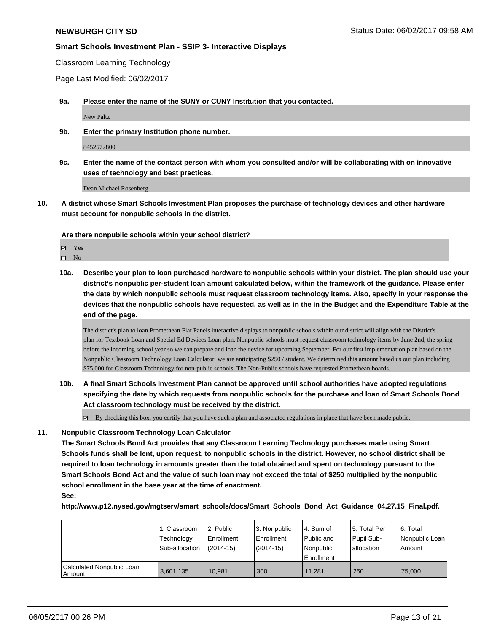Classroom Learning Technology

Page Last Modified: 06/02/2017

**9a. Please enter the name of the SUNY or CUNY Institution that you contacted.**

New Paltz

**9b. Enter the primary Institution phone number.**

8452572800

**9c. Enter the name of the contact person with whom you consulted and/or will be collaborating with on innovative uses of technology and best practices.**

Dean Michael Rosenberg

**10. A district whose Smart Schools Investment Plan proposes the purchase of technology devices and other hardware must account for nonpublic schools in the district.**

**Are there nonpublic schools within your school district?**

**Ø** Yes

 $\square$  No

**10a. Describe your plan to loan purchased hardware to nonpublic schools within your district. The plan should use your district's nonpublic per-student loan amount calculated below, within the framework of the guidance. Please enter the date by which nonpublic schools must request classroom technology items. Also, specify in your response the devices that the nonpublic schools have requested, as well as in the in the Budget and the Expenditure Table at the end of the page.**

The district's plan to loan Promethean Flat Panels interactive displays to nonpublic schools within our district will align with the District's plan for Textbook Loan and Special Ed Devices Loan plan. Nonpublic schools must request classroom technology items by June 2nd, the spring before the incoming school year so we can prepare and loan the device for upcoming September. For our first implementation plan based on the Nonpublic Classroom Technology Loan Calculator, we are anticipating \$250 / student. We determined this amount based us our plan including \$75,000 for Classroom Technology for non-public schools. The Non-Public schools have requested Promethean boards.

- **10b. A final Smart Schools Investment Plan cannot be approved until school authorities have adopted regulations specifying the date by which requests from nonpublic schools for the purchase and loan of Smart Schools Bond Act classroom technology must be received by the district.**
	- By checking this box, you certify that you have such a plan and associated regulations in place that have been made public.

#### **11. Nonpublic Classroom Technology Loan Calculator**

**The Smart Schools Bond Act provides that any Classroom Learning Technology purchases made using Smart Schools funds shall be lent, upon request, to nonpublic schools in the district. However, no school district shall be required to loan technology in amounts greater than the total obtained and spent on technology pursuant to the Smart Schools Bond Act and the value of such loan may not exceed the total of \$250 multiplied by the nonpublic school enrollment in the base year at the time of enactment. See:**

**http://www.p12.nysed.gov/mgtserv/smart\_schools/docs/Smart\_Schools\_Bond\_Act\_Guidance\_04.27.15\_Final.pdf.**

|                                       | 1. Classroom   | 2. Public     | l 3. Nonpublic | l 4. Sum of  | 15. Total Per | l 6. Total     |
|---------------------------------------|----------------|---------------|----------------|--------------|---------------|----------------|
|                                       | Technology     | Enrollment    | Enrollment     | l Public and | Pupil Sub-    | Nonpublic Loan |
|                                       | Sub-allocation | $(2014 - 15)$ | (2014-15)      | l Nonpublic  | allocation    | Amount         |
|                                       |                |               |                | Enrollment   |               |                |
| Calculated Nonpublic Loan<br>l Amount | 3,601,135      | 10.981        | 300            | 11.281       | 250           | 75,000         |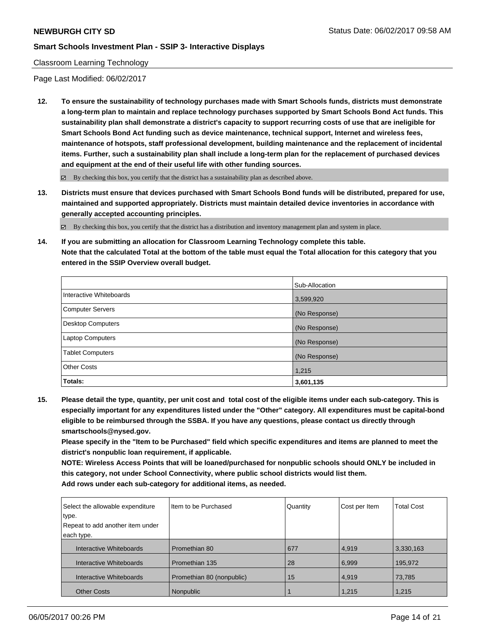#### Classroom Learning Technology

Page Last Modified: 06/02/2017

**12. To ensure the sustainability of technology purchases made with Smart Schools funds, districts must demonstrate a long-term plan to maintain and replace technology purchases supported by Smart Schools Bond Act funds. This sustainability plan shall demonstrate a district's capacity to support recurring costs of use that are ineligible for Smart Schools Bond Act funding such as device maintenance, technical support, Internet and wireless fees, maintenance of hotspots, staff professional development, building maintenance and the replacement of incidental items. Further, such a sustainability plan shall include a long-term plan for the replacement of purchased devices and equipment at the end of their useful life with other funding sources.**

 $\boxtimes$  By checking this box, you certify that the district has a sustainability plan as described above.

**13. Districts must ensure that devices purchased with Smart Schools Bond funds will be distributed, prepared for use, maintained and supported appropriately. Districts must maintain detailed device inventories in accordance with generally accepted accounting principles.**

By checking this box, you certify that the district has a distribution and inventory management plan and system in place.

**14. If you are submitting an allocation for Classroom Learning Technology complete this table. Note that the calculated Total at the bottom of the table must equal the Total allocation for this category that you entered in the SSIP Overview overall budget.**

|                          | Sub-Allocation |
|--------------------------|----------------|
| Interactive Whiteboards  | 3,599,920      |
| Computer Servers         | (No Response)  |
| <b>Desktop Computers</b> | (No Response)  |
| <b>Laptop Computers</b>  | (No Response)  |
| <b>Tablet Computers</b>  | (No Response)  |
| <b>Other Costs</b>       | 1,215          |
| <b>Totals:</b>           | 3,601,135      |

**15. Please detail the type, quantity, per unit cost and total cost of the eligible items under each sub-category. This is especially important for any expenditures listed under the "Other" category. All expenditures must be capital-bond eligible to be reimbursed through the SSBA. If you have any questions, please contact us directly through smartschools@nysed.gov.**

**Please specify in the "Item to be Purchased" field which specific expenditures and items are planned to meet the district's nonpublic loan requirement, if applicable.**

**NOTE: Wireless Access Points that will be loaned/purchased for nonpublic schools should ONLY be included in this category, not under School Connectivity, where public school districts would list them. Add rows under each sub-category for additional items, as needed.**

| Select the allowable expenditure<br>type. | I Item to be Purchased    | Quantity | Cost per Item | <b>Total Cost</b> |
|-------------------------------------------|---------------------------|----------|---------------|-------------------|
| Repeat to add another item under          |                           |          |               |                   |
| each type.                                |                           |          |               |                   |
| Interactive Whiteboards                   | Promethian 80             | 677      | 4,919         | 3,330,163         |
| Interactive Whiteboards                   | Promethian 135            | 28       | 6,999         | 195,972           |
| Interactive Whiteboards                   | Promethian 80 (nonpublic) | 15       | 4,919         | 73,785            |
| <b>Other Costs</b>                        | Nonpublic                 |          | 1,215         | 1,215             |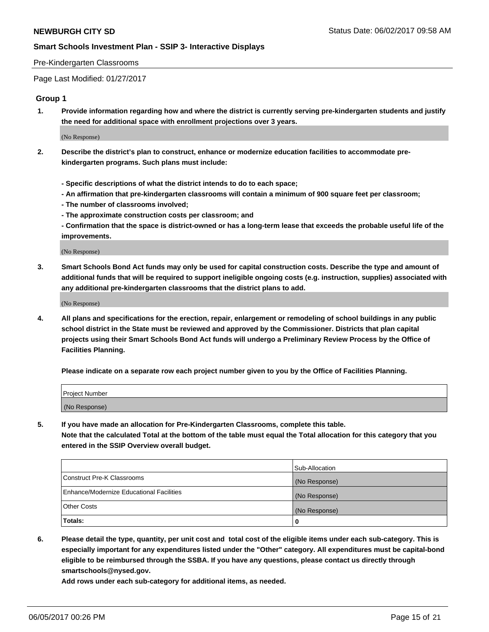#### Pre-Kindergarten Classrooms

Page Last Modified: 01/27/2017

#### **Group 1**

**1. Provide information regarding how and where the district is currently serving pre-kindergarten students and justify the need for additional space with enrollment projections over 3 years.**

(No Response)

- **2. Describe the district's plan to construct, enhance or modernize education facilities to accommodate prekindergarten programs. Such plans must include:**
	- **Specific descriptions of what the district intends to do to each space;**
	- **An affirmation that pre-kindergarten classrooms will contain a minimum of 900 square feet per classroom;**
	- **The number of classrooms involved;**
	- **The approximate construction costs per classroom; and**
	- **Confirmation that the space is district-owned or has a long-term lease that exceeds the probable useful life of the improvements.**

(No Response)

**3. Smart Schools Bond Act funds may only be used for capital construction costs. Describe the type and amount of additional funds that will be required to support ineligible ongoing costs (e.g. instruction, supplies) associated with any additional pre-kindergarten classrooms that the district plans to add.**

(No Response)

**4. All plans and specifications for the erection, repair, enlargement or remodeling of school buildings in any public school district in the State must be reviewed and approved by the Commissioner. Districts that plan capital projects using their Smart Schools Bond Act funds will undergo a Preliminary Review Process by the Office of Facilities Planning.**

**Please indicate on a separate row each project number given to you by the Office of Facilities Planning.**

| Project Number |  |
|----------------|--|
| (No Response)  |  |

**5. If you have made an allocation for Pre-Kindergarten Classrooms, complete this table. Note that the calculated Total at the bottom of the table must equal the Total allocation for this category that you entered in the SSIP Overview overall budget.**

| Totals:                                  | 0              |
|------------------------------------------|----------------|
| Other Costs                              | (No Response)  |
| Enhance/Modernize Educational Facilities | (No Response)  |
| Construct Pre-K Classrooms               | (No Response)  |
|                                          | Sub-Allocation |

**6. Please detail the type, quantity, per unit cost and total cost of the eligible items under each sub-category. This is especially important for any expenditures listed under the "Other" category. All expenditures must be capital-bond eligible to be reimbursed through the SSBA. If you have any questions, please contact us directly through smartschools@nysed.gov.**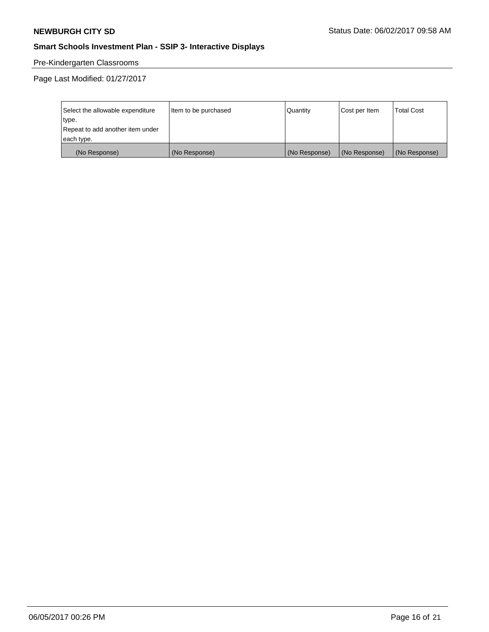# Pre-Kindergarten Classrooms

Page Last Modified: 01/27/2017

| Select the allowable expenditure | Item to be purchased | Quantity      | Cost per Item | <b>Total Cost</b> |
|----------------------------------|----------------------|---------------|---------------|-------------------|
| type.                            |                      |               |               |                   |
| Repeat to add another item under |                      |               |               |                   |
| each type.                       |                      |               |               |                   |
| (No Response)                    | (No Response)        | (No Response) | (No Response) | (No Response)     |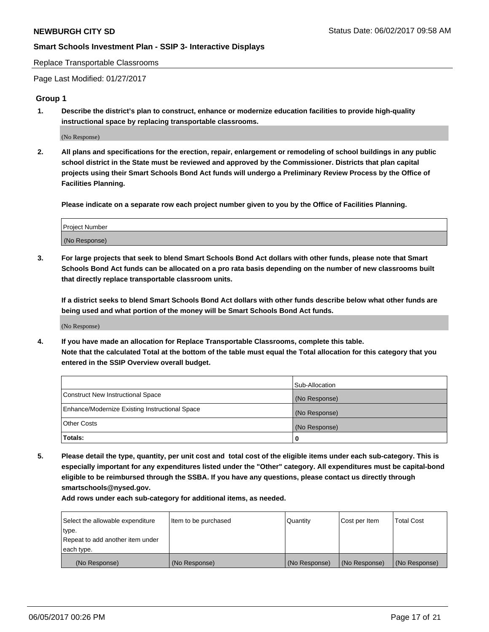Replace Transportable Classrooms

Page Last Modified: 01/27/2017

#### **Group 1**

**1. Describe the district's plan to construct, enhance or modernize education facilities to provide high-quality instructional space by replacing transportable classrooms.**

(No Response)

**2. All plans and specifications for the erection, repair, enlargement or remodeling of school buildings in any public school district in the State must be reviewed and approved by the Commissioner. Districts that plan capital projects using their Smart Schools Bond Act funds will undergo a Preliminary Review Process by the Office of Facilities Planning.**

**Please indicate on a separate row each project number given to you by the Office of Facilities Planning.**

| Project Number |  |
|----------------|--|
| (No Response)  |  |

**3. For large projects that seek to blend Smart Schools Bond Act dollars with other funds, please note that Smart Schools Bond Act funds can be allocated on a pro rata basis depending on the number of new classrooms built that directly replace transportable classroom units.**

**If a district seeks to blend Smart Schools Bond Act dollars with other funds describe below what other funds are being used and what portion of the money will be Smart Schools Bond Act funds.**

(No Response)

**4. If you have made an allocation for Replace Transportable Classrooms, complete this table. Note that the calculated Total at the bottom of the table must equal the Total allocation for this category that you entered in the SSIP Overview overall budget.**

|                                                | Sub-Allocation |
|------------------------------------------------|----------------|
| Construct New Instructional Space              | (No Response)  |
| Enhance/Modernize Existing Instructional Space | (No Response)  |
| Other Costs                                    | (No Response)  |
| Totals:                                        | $\Omega$       |

**5. Please detail the type, quantity, per unit cost and total cost of the eligible items under each sub-category. This is especially important for any expenditures listed under the "Other" category. All expenditures must be capital-bond eligible to be reimbursed through the SSBA. If you have any questions, please contact us directly through smartschools@nysed.gov.**

| Select the allowable expenditure | Item to be purchased | Quantity      | Cost per Item | <b>Total Cost</b> |
|----------------------------------|----------------------|---------------|---------------|-------------------|
| type.                            |                      |               |               |                   |
| Repeat to add another item under |                      |               |               |                   |
| each type.                       |                      |               |               |                   |
| (No Response)                    | (No Response)        | (No Response) | (No Response) | (No Response)     |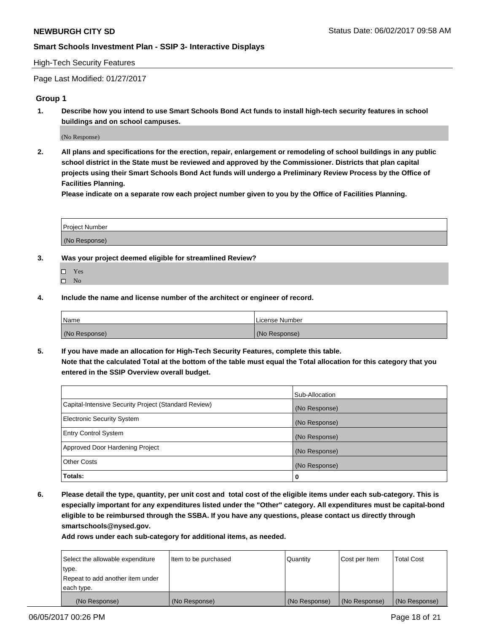#### High-Tech Security Features

Page Last Modified: 01/27/2017

#### **Group 1**

**1. Describe how you intend to use Smart Schools Bond Act funds to install high-tech security features in school buildings and on school campuses.**

(No Response)

**2. All plans and specifications for the erection, repair, enlargement or remodeling of school buildings in any public school district in the State must be reviewed and approved by the Commissioner. Districts that plan capital projects using their Smart Schools Bond Act funds will undergo a Preliminary Review Process by the Office of Facilities Planning.** 

**Please indicate on a separate row each project number given to you by the Office of Facilities Planning.**

| Project Number |  |
|----------------|--|
|                |  |
| (No Response)  |  |

- **3. Was your project deemed eligible for streamlined Review?**
	- Yes  $\hfill \square$  No
- **4. Include the name and license number of the architect or engineer of record.**

| <b>Name</b>   | License Number |
|---------------|----------------|
| (No Response) | (No Response)  |

**5. If you have made an allocation for High-Tech Security Features, complete this table. Note that the calculated Total at the bottom of the table must equal the Total allocation for this category that you entered in the SSIP Overview overall budget.**

|                                                      | Sub-Allocation |
|------------------------------------------------------|----------------|
| Capital-Intensive Security Project (Standard Review) | (No Response)  |
| Electronic Security System                           | (No Response)  |
| <b>Entry Control System</b>                          | (No Response)  |
| Approved Door Hardening Project                      | (No Response)  |
| <b>Other Costs</b>                                   | (No Response)  |
| Totals:                                              | 0              |

**6. Please detail the type, quantity, per unit cost and total cost of the eligible items under each sub-category. This is especially important for any expenditures listed under the "Other" category. All expenditures must be capital-bond eligible to be reimbursed through the SSBA. If you have any questions, please contact us directly through smartschools@nysed.gov.**

| (No Response)                    | (No Response)        | (No Response)   | (No Response) | (No Response)     |
|----------------------------------|----------------------|-----------------|---------------|-------------------|
| each type.                       |                      |                 |               |                   |
| Repeat to add another item under |                      |                 |               |                   |
| type.                            |                      |                 |               |                   |
| Select the allowable expenditure | Item to be purchased | <b>Quantity</b> | Cost per Item | <b>Total Cost</b> |
|                                  |                      |                 |               |                   |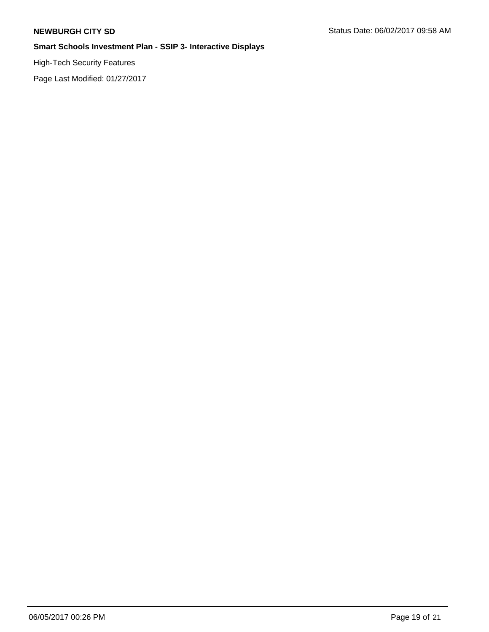High-Tech Security Features

Page Last Modified: 01/27/2017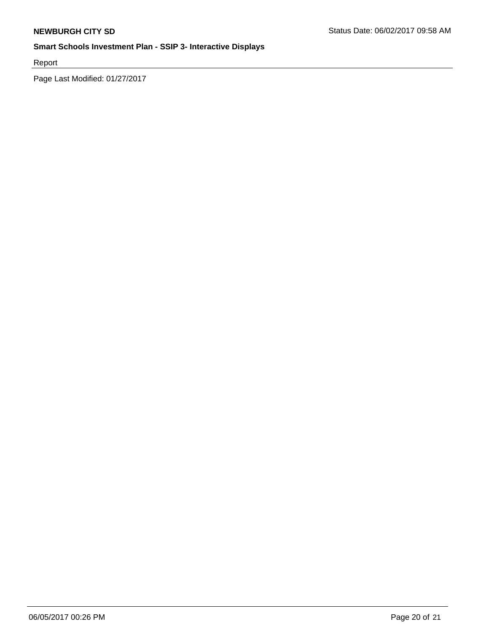Report

Page Last Modified: 01/27/2017